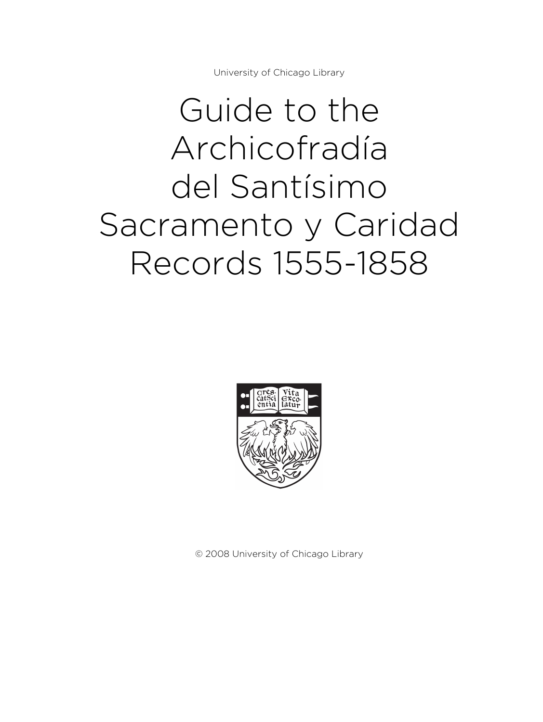University of Chicago Library

# Guide to the Archicofradía del Santísimo Sacramento y Caridad Records 1555-1858



© 2008 University of Chicago Library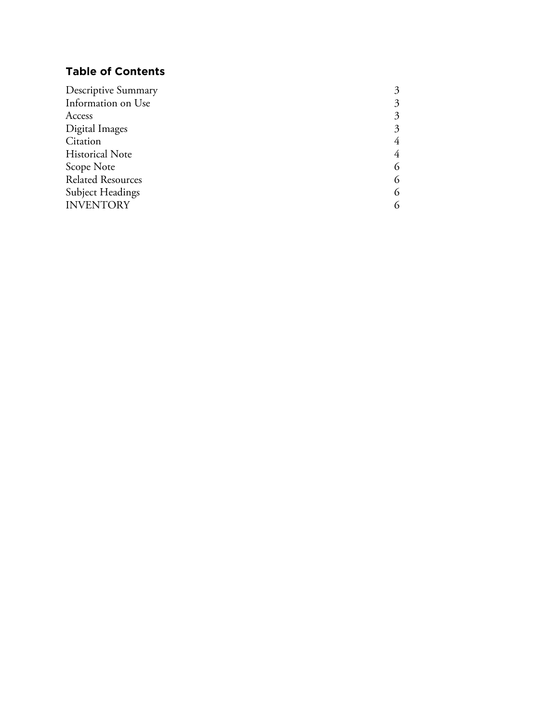# **Table of Contents**

| Descriptive Summary      |  |
|--------------------------|--|
| Information on Use       |  |
| Access                   |  |
| Digital Images           |  |
| Citation                 |  |
| <b>Historical Note</b>   |  |
| Scope Note               |  |
| <b>Related Resources</b> |  |
| <b>Subject Headings</b>  |  |
| <b>INVENTORY</b>         |  |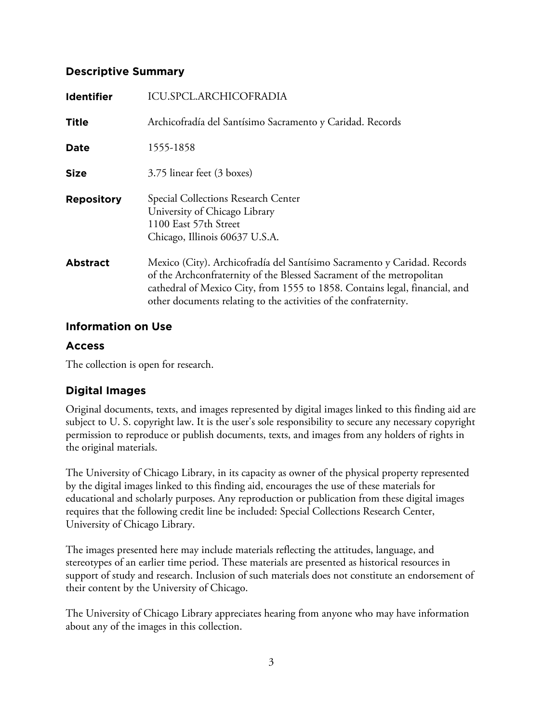# **Descriptive Summary**

| <b>Identifier</b> | ICU.SPCL.ARCHICOFRADIA                                                                                                                                                                                                                                                                               |
|-------------------|------------------------------------------------------------------------------------------------------------------------------------------------------------------------------------------------------------------------------------------------------------------------------------------------------|
| Title             | Archicofradía del Santísimo Sacramento y Caridad. Records                                                                                                                                                                                                                                            |
| Date              | 1555-1858                                                                                                                                                                                                                                                                                            |
| <b>Size</b>       | 3.75 linear feet (3 boxes)                                                                                                                                                                                                                                                                           |
| <b>Repository</b> | Special Collections Research Center<br>University of Chicago Library<br>1100 East 57th Street<br>Chicago, Illinois 60637 U.S.A.                                                                                                                                                                      |
| <b>Abstract</b>   | Mexico (City). Archicofradía del Santísimo Sacramento y Caridad. Records<br>of the Archconfraternity of the Blessed Sacrament of the metropolitan<br>cathedral of Mexico City, from 1555 to 1858. Contains legal, financial, and<br>other documents relating to the activities of the confraternity. |

# **Information on Use**

# **Access**

The collection is open for research.

# **Digital Images**

Original documents, texts, and images represented by digital images linked to this finding aid are subject to U. S. copyright law. It is the user's sole responsibility to secure any necessary copyright permission to reproduce or publish documents, texts, and images from any holders of rights in the original materials.

The University of Chicago Library, in its capacity as owner of the physical property represented by the digital images linked to this finding aid, encourages the use of these materials for educational and scholarly purposes. Any reproduction or publication from these digital images requires that the following credit line be included: Special Collections Research Center, University of Chicago Library.

The images presented here may include materials reflecting the attitudes, language, and stereotypes of an earlier time period. These materials are presented as historical resources in support of study and research. Inclusion of such materials does not constitute an endorsement of their content by the University of Chicago.

The University of Chicago Library appreciates hearing from anyone who may have information about any of the images in this collection.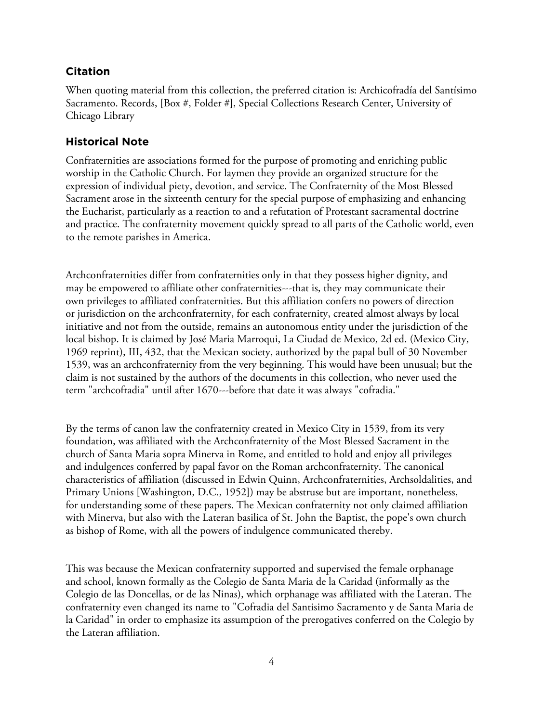# **Citation**

When quoting material from this collection, the preferred citation is: Archicofradía del Santísimo Sacramento. Records, [Box #, Folder #], Special Collections Research Center, University of Chicago Library

# **Historical Note**

Confraternities are associations formed for the purpose of promoting and enriching public worship in the Catholic Church. For laymen they provide an organized structure for the expression of individual piety, devotion, and service. The Confraternity of the Most Blessed Sacrament arose in the sixteenth century for the special purpose of emphasizing and enhancing the Eucharist, particularly as a reaction to and a refutation of Protestant sacramental doctrine and practice. The confraternity movement quickly spread to all parts of the Catholic world, even to the remote parishes in America.

Archconfraternities differ from confraternities only in that they possess higher dignity, and may be empowered to affiliate other confraternities---that is, they may communicate their own privileges to affiliated confraternities. But this affiliation confers no powers of direction or jurisdiction on the archconfraternity, for each confraternity, created almost always by local initiative and not from the outside, remains an autonomous entity under the jurisdiction of the local bishop. It is claimed by José Maria Marroqui, La Ciudad de Mexico, 2d ed. (Mexico City, 1969 reprint), III, 432, that the Mexican society, authorized by the papal bull of 30 November 1539, was an archconfraternity from the very beginning. This would have been unusual; but the claim is not sustained by the authors of the documents in this collection, who never used the term "archcofradia" until after 1670---before that date it was always "cofradia."

By the terms of canon law the confraternity created in Mexico City in 1539, from its very foundation, was affiliated with the Archconfraternity of the Most Blessed Sacrament in the church of Santa Maria sopra Minerva in Rome, and entitled to hold and enjoy all privileges and indulgences conferred by papal favor on the Roman archconfraternity. The canonical characteristics of affiliation (discussed in Edwin Quinn, Archconfraternities, Archsoldalities, and Primary Unions [Washington, D.C., 1952]) may be abstruse but are important, nonetheless, for understanding some of these papers. The Mexican confraternity not only claimed affiliation with Minerva, but also with the Lateran basilica of St. John the Baptist, the pope's own church as bishop of Rome, with all the powers of indulgence communicated thereby.

This was because the Mexican confraternity supported and supervised the female orphanage and school, known formally as the Colegio de Santa Maria de la Caridad (informally as the Colegio de las Doncellas, or de las Ninas), which orphanage was affiliated with the Lateran. The confraternity even changed its name to "Cofradia del Santisimo Sacramento y de Santa Maria de la Caridad" in order to emphasize its assumption of the prerogatives conferred on the Colegio by the Lateran affiliation.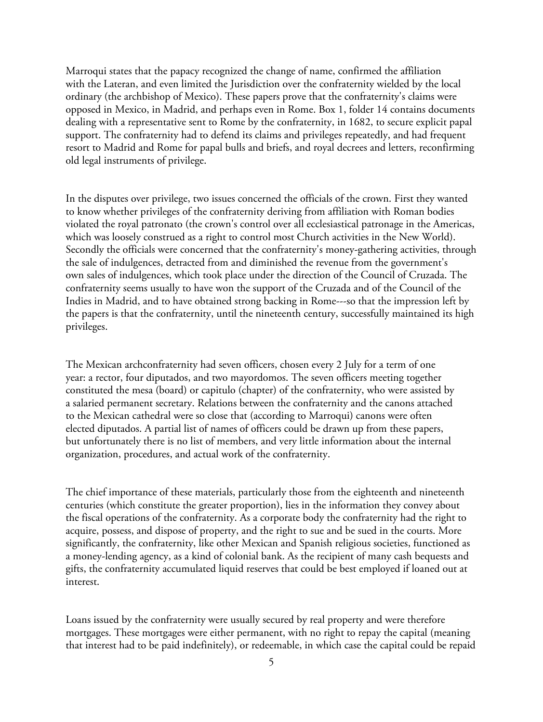Marroqui states that the papacy recognized the change of name, confirmed the affiliation with the Lateran, and even limited the Jurisdiction over the confraternity wielded by the local ordinary (the archbishop of Mexico). These papers prove that the confraternity's claims were opposed in Mexico, in Madrid, and perhaps even in Rome. Box 1, folder 14 contains documents dealing with a representative sent to Rome by the confraternity, in 1682, to secure explicit papal support. The confraternity had to defend its claims and privileges repeatedly, and had frequent resort to Madrid and Rome for papal bulls and briefs, and royal decrees and letters, reconfirming old legal instruments of privilege.

In the disputes over privilege, two issues concerned the officials of the crown. First they wanted to know whether privileges of the confraternity deriving from affiliation with Roman bodies violated the royal patronato (the crown's control over all ecclesiastical patronage in the Americas, which was loosely construed as a right to control most Church activities in the New World). Secondly the officials were concerned that the confraternity's money-gathering activities, through the sale of indulgences, detracted from and diminished the revenue from the government's own sales of indulgences, which took place under the direction of the Council of Cruzada. The confraternity seems usually to have won the support of the Cruzada and of the Council of the Indies in Madrid, and to have obtained strong backing in Rome---so that the impression left by the papers is that the confraternity, until the nineteenth century, successfully maintained its high privileges.

The Mexican archconfraternity had seven officers, chosen every 2 July for a term of one year: a rector, four diputados, and two mayordomos. The seven officers meeting together constituted the mesa (board) or capitulo (chapter) of the confraternity, who were assisted by a salaried permanent secretary. Relations between the confraternity and the canons attached to the Mexican cathedral were so close that (according to Marroqui) canons were often elected diputados. A partial list of names of officers could be drawn up from these papers, but unfortunately there is no list of members, and very little information about the internal organization, procedures, and actual work of the confraternity.

The chief importance of these materials, particularly those from the eighteenth and nineteenth centuries (which constitute the greater proportion), lies in the information they convey about the fiscal operations of the confraternity. As a corporate body the confraternity had the right to acquire, possess, and dispose of property, and the right to sue and be sued in the courts. More significantly, the confraternity, like other Mexican and Spanish religious societies, functioned as a money-lending agency, as a kind of colonial bank. As the recipient of many cash bequests and gifts, the confraternity accumulated liquid reserves that could be best employed if loaned out at interest.

Loans issued by the confraternity were usually secured by real property and were therefore mortgages. These mortgages were either permanent, with no right to repay the capital (meaning that interest had to be paid indefinitely), or redeemable, in which case the capital could be repaid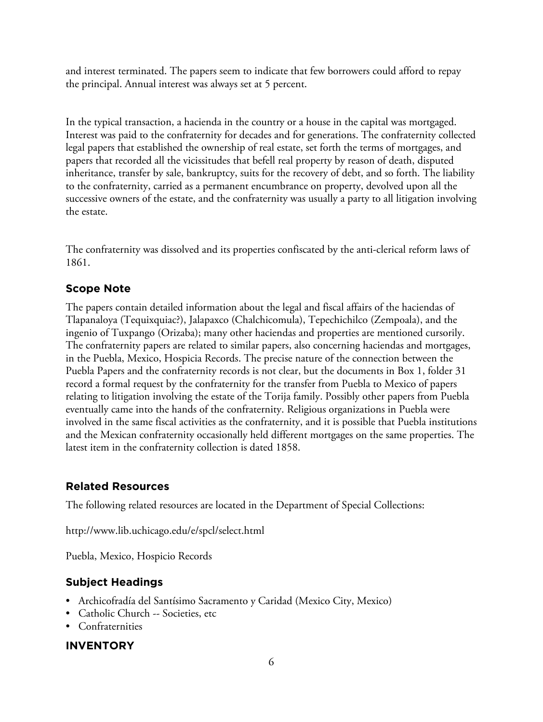and interest terminated. The papers seem to indicate that few borrowers could afford to repay the principal. Annual interest was always set at 5 percent.

In the typical transaction, a hacienda in the country or a house in the capital was mortgaged. Interest was paid to the confraternity for decades and for generations. The confraternity collected legal papers that established the ownership of real estate, set forth the terms of mortgages, and papers that recorded all the vicissitudes that befell real property by reason of death, disputed inheritance, transfer by sale, bankruptcy, suits for the recovery of debt, and so forth. The liability to the confraternity, carried as a permanent encumbrance on property, devolved upon all the successive owners of the estate, and the confraternity was usually a party to all litigation involving the estate.

The confraternity was dissolved and its properties confiscated by the anti-clerical reform laws of 1861.

# **Scope Note**

The papers contain detailed information about the legal and fiscal affairs of the haciendas of Tlapanaloya (Tequixquiac?), Jalapaxco (Chalchicomula), Tepechichilco (Zempoala), and the ingenio of Tuxpango (Orizaba); many other haciendas and properties are mentioned cursorily. The confraternity papers are related to similar papers, also concerning haciendas and mortgages, in the Puebla, Mexico, Hospicia Records. The precise nature of the connection between the Puebla Papers and the confraternity records is not clear, but the documents in Box 1, folder 31 record a formal request by the confraternity for the transfer from Puebla to Mexico of papers relating to litigation involving the estate of the Torija family. Possibly other papers from Puebla eventually came into the hands of the confraternity. Religious organizations in Puebla were involved in the same fiscal activities as the confraternity, and it is possible that Puebla institutions and the Mexican confraternity occasionally held different mortgages on the same properties. The latest item in the confraternity collection is dated 1858.

# **Related Resources**

The following related resources are located in the Department of Special Collections:

http://www.lib.uchicago.edu/e/spcl/select.html

Puebla, Mexico, Hospicio Records

# **Subject Headings**

- Archicofradía del Santísimo Sacramento y Caridad (Mexico City, Mexico)
- Catholic Church -- Societies, etc
- Confraternities

# **INVENTORY**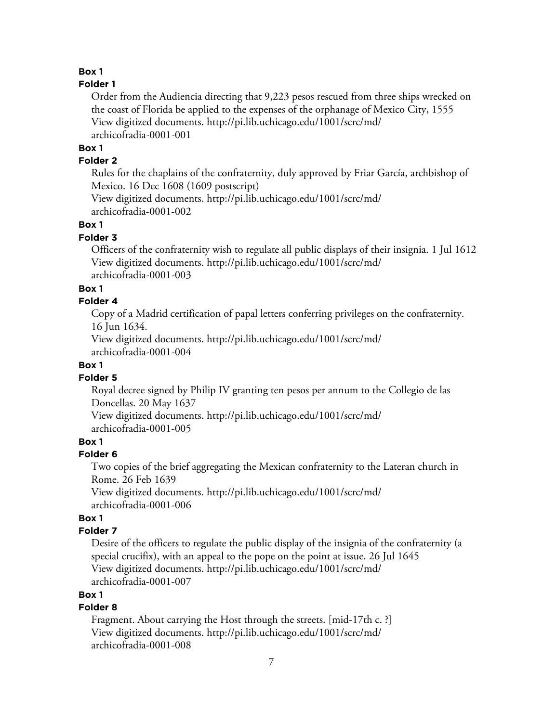# **Box 1**

#### **Folder 1**

Order from the Audiencia directing that 9,223 pesos rescued from three ships wrecked on the coast of Florida be applied to the expenses of the orphanage of Mexico City, 1555 View digitized documents. [http://pi.lib.uchicago.edu/1001/scrc/md/](http://pi.lib.uchicago.edu/1001/scrc/md/archicofradia-0001-001) [archicofradia-0001-001](http://pi.lib.uchicago.edu/1001/scrc/md/archicofradia-0001-001)

#### **Box 1**

#### **Folder 2**

Rules for the chaplains of the confraternity, duly approved by Friar García, archbishop of Mexico. 16 Dec 1608 (1609 postscript)

View digitized documents. [http://pi.lib.uchicago.edu/1001/scrc/md/](http://pi.lib.uchicago.edu/1001/scrc/md/archicofradia-0001-002) [archicofradia-0001-002](http://pi.lib.uchicago.edu/1001/scrc/md/archicofradia-0001-002)

#### **Box 1**

#### **Folder 3**

Officers of the confraternity wish to regulate all public displays of their insignia. 1 Jul 1612 View digitized documents. [http://pi.lib.uchicago.edu/1001/scrc/md/](http://pi.lib.uchicago.edu/1001/scrc/md/archicofradia-0001-003) [archicofradia-0001-003](http://pi.lib.uchicago.edu/1001/scrc/md/archicofradia-0001-003)

#### **Box 1**

#### **Folder 4**

Copy of a Madrid certification of papal letters conferring privileges on the confraternity. 16 Jun 1634.

View digitized documents. [http://pi.lib.uchicago.edu/1001/scrc/md/](http://pi.lib.uchicago.edu/1001/scrc/md/archicofradia-0001-004) [archicofradia-0001-004](http://pi.lib.uchicago.edu/1001/scrc/md/archicofradia-0001-004)

#### **Box 1**

#### **Folder 5**

Royal decree signed by Philip IV granting ten pesos per annum to the Collegio de las Doncellas. 20 May 1637

View digitized documents. [http://pi.lib.uchicago.edu/1001/scrc/md/](http://pi.lib.uchicago.edu/1001/scrc/md/archicofradia-0001-005) [archicofradia-0001-005](http://pi.lib.uchicago.edu/1001/scrc/md/archicofradia-0001-005)

#### **Box 1**

#### **Folder 6**

Two copies of the brief aggregating the Mexican confraternity to the Lateran church in Rome. 26 Feb 1639

View digitized documents. [http://pi.lib.uchicago.edu/1001/scrc/md/](http://pi.lib.uchicago.edu/1001/scrc/md/archicofradia-0001-006) [archicofradia-0001-006](http://pi.lib.uchicago.edu/1001/scrc/md/archicofradia-0001-006)

#### **Box 1**

## **Folder 7**

Desire of the officers to regulate the public display of the insignia of the confraternity (a special crucifix), with an appeal to the pope on the point at issue. 26 Jul 1645 View digitized documents. [http://pi.lib.uchicago.edu/1001/scrc/md/](http://pi.lib.uchicago.edu/1001/scrc/md/archicofradia-0001-007) [archicofradia-0001-007](http://pi.lib.uchicago.edu/1001/scrc/md/archicofradia-0001-007)

## **Box 1**

# **Folder 8**

Fragment. About carrying the Host through the streets. [mid-17th c. ?] View digitized documents. [http://pi.lib.uchicago.edu/1001/scrc/md/](http://pi.lib.uchicago.edu/1001/scrc/md/archicofradia-0001-008) [archicofradia-0001-008](http://pi.lib.uchicago.edu/1001/scrc/md/archicofradia-0001-008)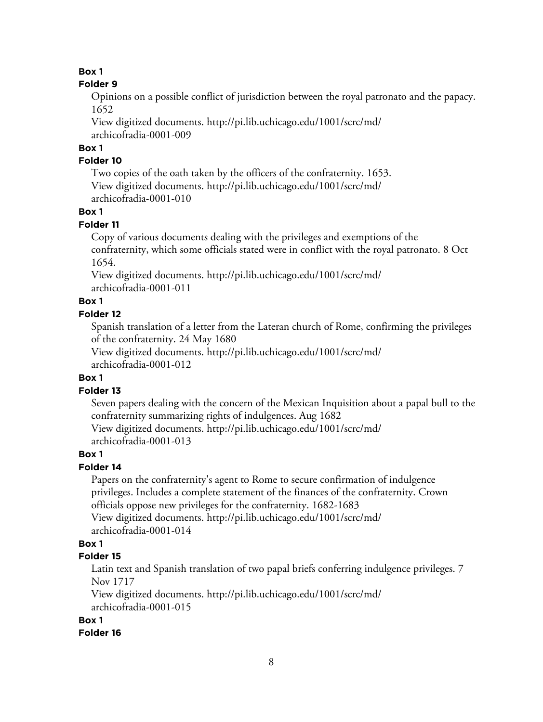# **Box 1**

#### **Folder 9**

Opinions on a possible conflict of jurisdiction between the royal patronato and the papacy. 1652

View digitized documents. [http://pi.lib.uchicago.edu/1001/scrc/md/](http://pi.lib.uchicago.edu/1001/scrc/md/archicofradia-0001-009) [archicofradia-0001-009](http://pi.lib.uchicago.edu/1001/scrc/md/archicofradia-0001-009)

# **Box 1**

## **Folder 10**

Two copies of the oath taken by the officers of the confraternity. 1653. View digitized documents. [http://pi.lib.uchicago.edu/1001/scrc/md/](http://pi.lib.uchicago.edu/1001/scrc/md/archicofradia-0001-010) [archicofradia-0001-010](http://pi.lib.uchicago.edu/1001/scrc/md/archicofradia-0001-010)

# **Box 1**

# **Folder 11**

Copy of various documents dealing with the privileges and exemptions of the confraternity, which some officials stated were in conflict with the royal patronato. 8 Oct 1654.

View digitized documents. [http://pi.lib.uchicago.edu/1001/scrc/md/](http://pi.lib.uchicago.edu/1001/scrc/md/archicofradia-0001-011) [archicofradia-0001-011](http://pi.lib.uchicago.edu/1001/scrc/md/archicofradia-0001-011)

# **Box 1**

#### **Folder 12**

Spanish translation of a letter from the Lateran church of Rome, confirming the privileges of the confraternity. 24 May 1680

View digitized documents. [http://pi.lib.uchicago.edu/1001/scrc/md/](http://pi.lib.uchicago.edu/1001/scrc/md/archicofradia-0001-012) [archicofradia-0001-012](http://pi.lib.uchicago.edu/1001/scrc/md/archicofradia-0001-012)

# **Box 1**

# **Folder 13**

Seven papers dealing with the concern of the Mexican Inquisition about a papal bull to the confraternity summarizing rights of indulgences. Aug 1682

View digitized documents. [http://pi.lib.uchicago.edu/1001/scrc/md/](http://pi.lib.uchicago.edu/1001/scrc/md/archicofradia-0001-013) [archicofradia-0001-013](http://pi.lib.uchicago.edu/1001/scrc/md/archicofradia-0001-013)

# **Box 1**

# **Folder 14**

Papers on the confraternity's agent to Rome to secure confirmation of indulgence privileges. Includes a complete statement of the finances of the confraternity. Crown officials oppose new privileges for the confraternity. 1682-1683 View digitized documents. [http://pi.lib.uchicago.edu/1001/scrc/md/](http://pi.lib.uchicago.edu/1001/scrc/md/archicofradia-0001-014) [archicofradia-0001-014](http://pi.lib.uchicago.edu/1001/scrc/md/archicofradia-0001-014)

# **Box 1**

# **Folder 15**

Latin text and Spanish translation of two papal briefs conferring indulgence privileges. 7 Nov 1717

View digitized documents. [http://pi.lib.uchicago.edu/1001/scrc/md/](http://pi.lib.uchicago.edu/1001/scrc/md/archicofradia-0001-015) [archicofradia-0001-015](http://pi.lib.uchicago.edu/1001/scrc/md/archicofradia-0001-015)

# **Box 1**

# **Folder 16**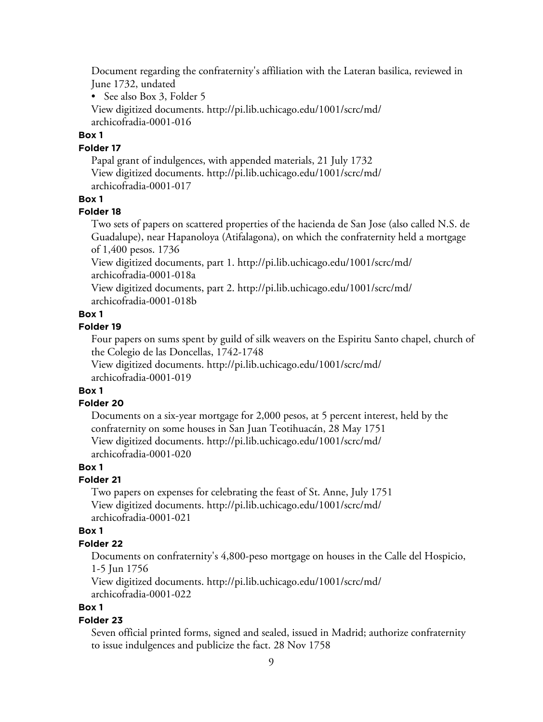Document regarding the confraternity's affiliation with the Lateran basilica, reviewed in June 1732, undated

• See also Box 3, Folder 5

View digitized documents. [http://pi.lib.uchicago.edu/1001/scrc/md/](http://pi.lib.uchicago.edu/1001/scrc/md/archicofradia-0001-016) [archicofradia-0001-016](http://pi.lib.uchicago.edu/1001/scrc/md/archicofradia-0001-016)

#### **Box 1**

#### **Folder 17**

Papal grant of indulgences, with appended materials, 21 July 1732 View digitized documents. [http://pi.lib.uchicago.edu/1001/scrc/md/](http://pi.lib.uchicago.edu/1001/scrc/md/archicofradia-0001-017) [archicofradia-0001-017](http://pi.lib.uchicago.edu/1001/scrc/md/archicofradia-0001-017)

#### **Box 1**

#### **Folder 18**

Two sets of papers on scattered properties of the hacienda de San Jose (also called N.S. de Guadalupe), near Hapanoloya (Atifalagona), on which the confraternity held a mortgage of 1,400 pesos. 1736

View digitized documents, part 1. [http://pi.lib.uchicago.edu/1001/scrc/md/](http://pi.lib.uchicago.edu/1001/scrc/md/archicofradia-0001-018a) [archicofradia-0001-018a](http://pi.lib.uchicago.edu/1001/scrc/md/archicofradia-0001-018a)

View digitized documents, part 2. [http://pi.lib.uchicago.edu/1001/scrc/md/](http://pi.lib.uchicago.edu/1001/scrc/md/archicofradia-0001-018b) [archicofradia-0001-018b](http://pi.lib.uchicago.edu/1001/scrc/md/archicofradia-0001-018b)

#### **Box 1**

#### **Folder 19**

Four papers on sums spent by guild of silk weavers on the Espiritu Santo chapel, church of the Colegio de las Doncellas, 1742-1748

View digitized documents. [http://pi.lib.uchicago.edu/1001/scrc/md/](http://pi.lib.uchicago.edu/1001/scrc/md/archicofradia-0001-019) [archicofradia-0001-019](http://pi.lib.uchicago.edu/1001/scrc/md/archicofradia-0001-019)

# **Box 1**

#### **Folder 20**

Documents on a six-year mortgage for 2,000 pesos, at 5 percent interest, held by the confraternity on some houses in San Juan Teotihuacán, 28 May 1751 View digitized documents. [http://pi.lib.uchicago.edu/1001/scrc/md/](http://pi.lib.uchicago.edu/1001/scrc/md/archicofradia-0001-020) [archicofradia-0001-020](http://pi.lib.uchicago.edu/1001/scrc/md/archicofradia-0001-020)

#### **Box 1**

# **Folder 21**

Two papers on expenses for celebrating the feast of St. Anne, July 1751 View digitized documents. [http://pi.lib.uchicago.edu/1001/scrc/md/](http://pi.lib.uchicago.edu/1001/scrc/md/archicofradia-0001-021) [archicofradia-0001-021](http://pi.lib.uchicago.edu/1001/scrc/md/archicofradia-0001-021)

#### **Box 1**

#### **Folder 22**

Documents on confraternity's 4,800-peso mortgage on houses in the Calle del Hospicio, 1-5 Jun 1756

View digitized documents. [http://pi.lib.uchicago.edu/1001/scrc/md/](http://pi.lib.uchicago.edu/1001/scrc/md/archicofradia-0001-022) [archicofradia-0001-022](http://pi.lib.uchicago.edu/1001/scrc/md/archicofradia-0001-022)

#### **Box 1**

#### **Folder 23**

Seven official printed forms, signed and sealed, issued in Madrid; authorize confraternity to issue indulgences and publicize the fact. 28 Nov 1758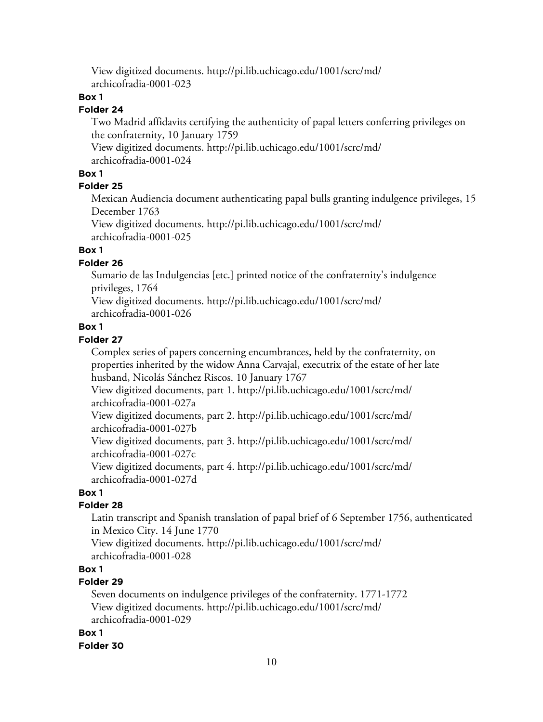View digitized documents. [http://pi.lib.uchicago.edu/1001/scrc/md/](http://pi.lib.uchicago.edu/1001/scrc/md/archicofradia-0001-023) [archicofradia-0001-023](http://pi.lib.uchicago.edu/1001/scrc/md/archicofradia-0001-023)

# **Box 1**

# **Folder 24**

Two Madrid affidavits certifying the authenticity of papal letters conferring privileges on the confraternity, 10 January 1759

View digitized documents. [http://pi.lib.uchicago.edu/1001/scrc/md/](http://pi.lib.uchicago.edu/1001/scrc/md/archicofradia-0001-024) [archicofradia-0001-024](http://pi.lib.uchicago.edu/1001/scrc/md/archicofradia-0001-024)

## **Box 1**

## **Folder 25**

Mexican Audiencia document authenticating papal bulls granting indulgence privileges, 15 December 1763

View digitized documents. [http://pi.lib.uchicago.edu/1001/scrc/md/](http://pi.lib.uchicago.edu/1001/scrc/md/archicofradia-0001-025) [archicofradia-0001-025](http://pi.lib.uchicago.edu/1001/scrc/md/archicofradia-0001-025)

# **Box 1**

## **Folder 26**

Sumario de las Indulgencias [etc.] printed notice of the confraternity's indulgence privileges, 1764

View digitized documents. [http://pi.lib.uchicago.edu/1001/scrc/md/](http://pi.lib.uchicago.edu/1001/scrc/md/archicofradia-0001-026) [archicofradia-0001-026](http://pi.lib.uchicago.edu/1001/scrc/md/archicofradia-0001-026)

#### **Box 1**

# **Folder 27**

Complex series of papers concerning encumbrances, held by the confraternity, on properties inherited by the widow Anna Carvajal, executrix of the estate of her late husband, Nicolás Sánchez Riscos. 10 January 1767

View digitized documents, part 1. [http://pi.lib.uchicago.edu/1001/scrc/md/](http://pi.lib.uchicago.edu/1001/scrc/md/archicofradia-0001-027a) [archicofradia-0001-027a](http://pi.lib.uchicago.edu/1001/scrc/md/archicofradia-0001-027a)

View digitized documents, part 2. [http://pi.lib.uchicago.edu/1001/scrc/md/](http://pi.lib.uchicago.edu/1001/scrc/md/archicofradia-0001-027b) [archicofradia-0001-027b](http://pi.lib.uchicago.edu/1001/scrc/md/archicofradia-0001-027b)

View digitized documents, part 3. [http://pi.lib.uchicago.edu/1001/scrc/md/](http://pi.lib.uchicago.edu/1001/scrc/md/archicofradia-0001-027c) [archicofradia-0001-027c](http://pi.lib.uchicago.edu/1001/scrc/md/archicofradia-0001-027c)

View digitized documents, part 4. [http://pi.lib.uchicago.edu/1001/scrc/md/](http://pi.lib.uchicago.edu/1001/scrc/md/archicofradia-0001-027d) [archicofradia-0001-027d](http://pi.lib.uchicago.edu/1001/scrc/md/archicofradia-0001-027d)

#### **Box 1**

# **Folder 28**

Latin transcript and Spanish translation of papal brief of 6 September 1756, authenticated in Mexico City. 14 June 1770

View digitized documents. [http://pi.lib.uchicago.edu/1001/scrc/md/](http://pi.lib.uchicago.edu/1001/scrc/md/archicofradia-0001-028) [archicofradia-0001-028](http://pi.lib.uchicago.edu/1001/scrc/md/archicofradia-0001-028)

# **Box 1**

# **Folder 29**

Seven documents on indulgence privileges of the confraternity. 1771-1772 View digitized documents. [http://pi.lib.uchicago.edu/1001/scrc/md/](http://pi.lib.uchicago.edu/1001/scrc/md/archicofradia-0001-029) [archicofradia-0001-029](http://pi.lib.uchicago.edu/1001/scrc/md/archicofradia-0001-029)

#### **Box 1**

#### **Folder 30**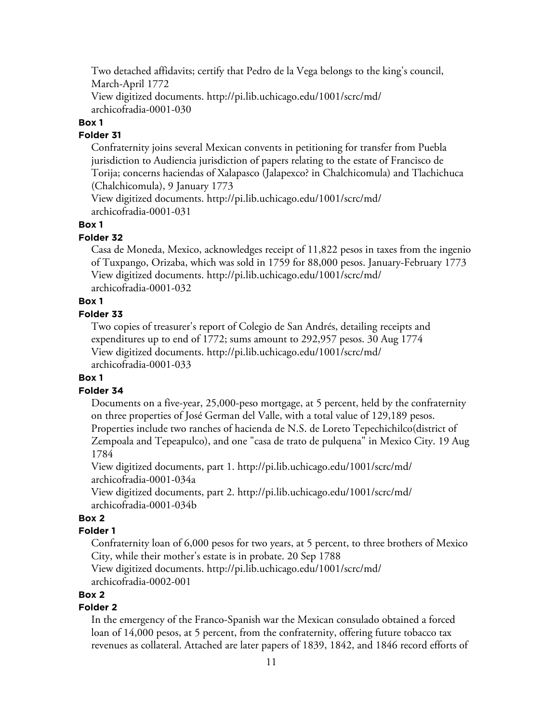Two detached affidavits; certify that Pedro de la Vega belongs to the king's council, March-April 1772 View digitized documents. [http://pi.lib.uchicago.edu/1001/scrc/md/](http://pi.lib.uchicago.edu/1001/scrc/md/archicofradia-0001-030)

[archicofradia-0001-030](http://pi.lib.uchicago.edu/1001/scrc/md/archicofradia-0001-030)

# **Box 1**

# **Folder 31**

Confraternity joins several Mexican convents in petitioning for transfer from Puebla jurisdiction to Audiencia jurisdiction of papers relating to the estate of Francisco de Torija; concerns haciendas of Xalapasco (Jalapexco? in Chalchicomula) and Tlachichuca (Chalchicomula), 9 January 1773

View digitized documents. [http://pi.lib.uchicago.edu/1001/scrc/md/](http://pi.lib.uchicago.edu/1001/scrc/md/archicofradia-0001-031) [archicofradia-0001-031](http://pi.lib.uchicago.edu/1001/scrc/md/archicofradia-0001-031)

# **Box 1**

# **Folder 32**

Casa de Moneda, Mexico, acknowledges receipt of 11,822 pesos in taxes from the ingenio of Tuxpango, Orizaba, which was sold in 1759 for 88,000 pesos. January-February 1773 View digitized documents. [http://pi.lib.uchicago.edu/1001/scrc/md/](http://pi.lib.uchicago.edu/1001/scrc/md/archicofradia-0001-032) [archicofradia-0001-032](http://pi.lib.uchicago.edu/1001/scrc/md/archicofradia-0001-032)

# **Box 1**

# **Folder 33**

Two copies of treasurer's report of Colegio de San Andrés, detailing receipts and expenditures up to end of 1772; sums amount to 292,957 pesos. 30 Aug 1774 View digitized documents. [http://pi.lib.uchicago.edu/1001/scrc/md/](http://pi.lib.uchicago.edu/1001/scrc/md/archicofradia-0001-033) [archicofradia-0001-033](http://pi.lib.uchicago.edu/1001/scrc/md/archicofradia-0001-033)

# **Box 1**

# **Folder 34**

Documents on a five-year, 25,000-peso mortgage, at 5 percent, held by the confraternity on three properties of José German del Valle, with a total value of 129,189 pesos. Properties include two ranches of hacienda de N.S. de Loreto Tepechichilco(district of Zempoala and Tepeapulco), and one "casa de trato de pulquena" in Mexico City. 19 Aug 1784

View digitized documents, part 1. [http://pi.lib.uchicago.edu/1001/scrc/md/](http://pi.lib.uchicago.edu/1001/scrc/md/archicofradia-0001-034a) [archicofradia-0001-034a](http://pi.lib.uchicago.edu/1001/scrc/md/archicofradia-0001-034a)

View digitized documents, part 2. [http://pi.lib.uchicago.edu/1001/scrc/md/](http://pi.lib.uchicago.edu/1001/scrc/md/archicofradia-0001-034b) [archicofradia-0001-034b](http://pi.lib.uchicago.edu/1001/scrc/md/archicofradia-0001-034b)

# **Box 2**

# **Folder 1**

Confraternity loan of 6,000 pesos for two years, at 5 percent, to three brothers of Mexico City, while their mother's estate is in probate. 20 Sep 1788

View digitized documents. [http://pi.lib.uchicago.edu/1001/scrc/md/](http://pi.lib.uchicago.edu/1001/scrc/md/archicofradia-0002-001) [archicofradia-0002-001](http://pi.lib.uchicago.edu/1001/scrc/md/archicofradia-0002-001)

# **Box 2**

# **Folder 2**

In the emergency of the Franco-Spanish war the Mexican consulado obtained a forced loan of 14,000 pesos, at 5 percent, from the confraternity, offering future tobacco tax revenues as collateral. Attached are later papers of 1839, 1842, and 1846 record efforts of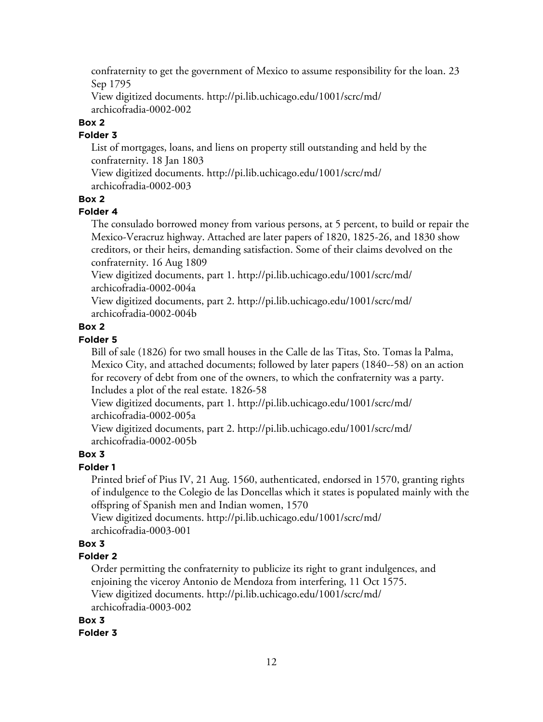confraternity to get the government of Mexico to assume responsibility for the loan. 23 Sep 1795

View digitized documents. [http://pi.lib.uchicago.edu/1001/scrc/md/](http://pi.lib.uchicago.edu/1001/scrc/md/archicofradia-0002-002) [archicofradia-0002-002](http://pi.lib.uchicago.edu/1001/scrc/md/archicofradia-0002-002)

# **Box 2**

## **Folder 3**

List of mortgages, loans, and liens on property still outstanding and held by the confraternity. 18 Jan 1803

View digitized documents. [http://pi.lib.uchicago.edu/1001/scrc/md/](http://pi.lib.uchicago.edu/1001/scrc/md/archicofradia-0002-003) [archicofradia-0002-003](http://pi.lib.uchicago.edu/1001/scrc/md/archicofradia-0002-003)

#### **Box 2**

#### **Folder 4**

The consulado borrowed money from various persons, at 5 percent, to build or repair the Mexico-Veracruz highway. Attached are later papers of 1820, 1825-26, and 1830 show creditors, or their heirs, demanding satisfaction. Some of their claims devolved on the confraternity. 16 Aug 1809

View digitized documents, part 1. [http://pi.lib.uchicago.edu/1001/scrc/md/](http://pi.lib.uchicago.edu/1001/scrc/md/archicofradia-0002-004a) [archicofradia-0002-004a](http://pi.lib.uchicago.edu/1001/scrc/md/archicofradia-0002-004a)

View digitized documents, part 2. [http://pi.lib.uchicago.edu/1001/scrc/md/](http://pi.lib.uchicago.edu/1001/scrc/md/archicofradia-0002-004b) [archicofradia-0002-004b](http://pi.lib.uchicago.edu/1001/scrc/md/archicofradia-0002-004b)

## **Box 2**

#### **Folder 5**

Bill of sale (1826) for two small houses in the Calle de las Titas, Sto. Tomas la Palma, Mexico City, and attached documents; followed by later papers (1840--58) on an action for recovery of debt from one of the owners, to which the confraternity was a party. Includes a plot of the real estate. 1826-58

View digitized documents, part 1. [http://pi.lib.uchicago.edu/1001/scrc/md/](http://pi.lib.uchicago.edu/1001/scrc/md/archicofradia-0002-005a) [archicofradia-0002-005a](http://pi.lib.uchicago.edu/1001/scrc/md/archicofradia-0002-005a)

View digitized documents, part 2. [http://pi.lib.uchicago.edu/1001/scrc/md/](http://pi.lib.uchicago.edu/1001/scrc/md/archicofradia-0002-005b) [archicofradia-0002-005b](http://pi.lib.uchicago.edu/1001/scrc/md/archicofradia-0002-005b)

# **Box 3**

#### **Folder 1**

Printed brief of Pius IV, 21 Aug. 1560, authenticated, endorsed in 1570, granting rights of indulgence to the Colegio de las Doncellas which it states is populated mainly with the offspring of Spanish men and Indian women, 1570

View digitized documents. [http://pi.lib.uchicago.edu/1001/scrc/md/](http://pi.lib.uchicago.edu/1001/scrc/md/archicofradia-0003-001) [archicofradia-0003-001](http://pi.lib.uchicago.edu/1001/scrc/md/archicofradia-0003-001)

# **Box 3**

#### **Folder 2**

Order permitting the confraternity to publicize its right to grant indulgences, and enjoining the viceroy Antonio de Mendoza from interfering, 11 Oct 1575. View digitized documents. [http://pi.lib.uchicago.edu/1001/scrc/md/](http://pi.lib.uchicago.edu/1001/scrc/md/archicofradia-0003-002)

[archicofradia-0003-002](http://pi.lib.uchicago.edu/1001/scrc/md/archicofradia-0003-002)

#### **Box 3**

**Folder 3**